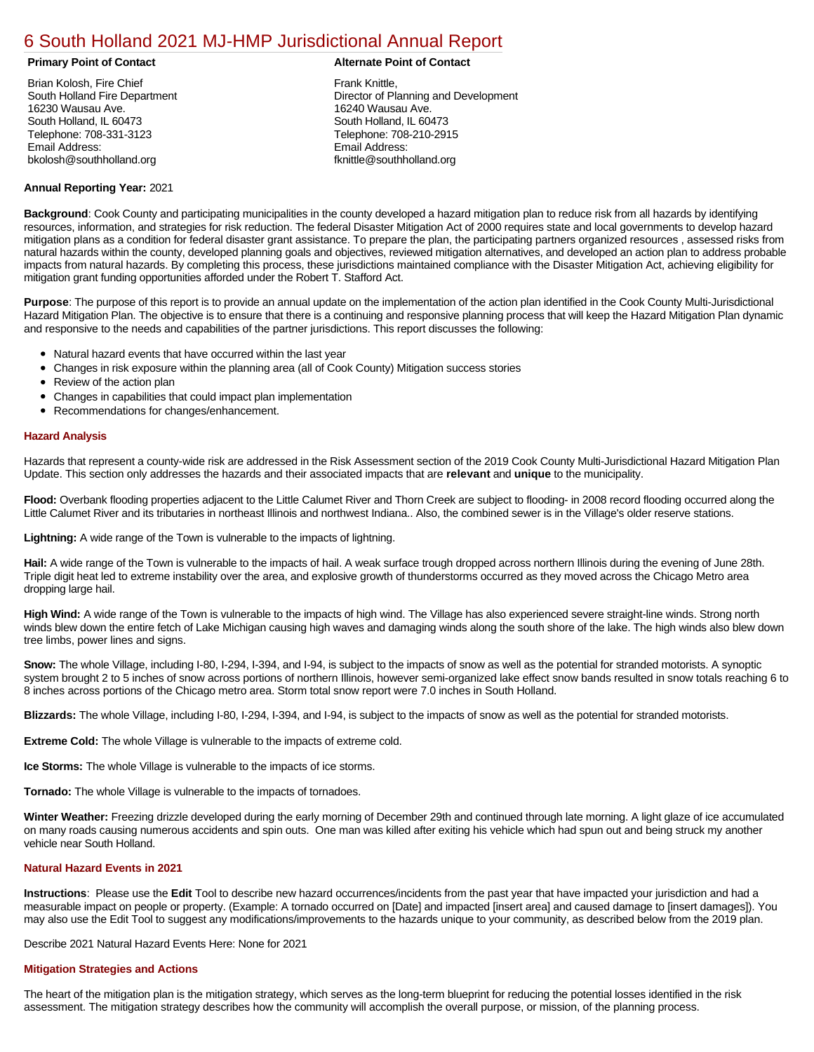# [6 South Holland 2021 MJ-HMP Jurisdictional Annual Report](https://holland.isc-cemp.com/Cemp/Details?id=8322922)

Brian Kolosh, Fire Chief South Holland Fire Department 16230 Wausau Ave. South Holland, IL 60473 Telephone: 708-331-3123 Email Address: bkolosh@southholland.org

#### **Primary Point of Contact Alternate Point of Contact**

Frank Knittle, Director of Planning and Development 16240 Wausau Ave. South Holland, IL 60473 Telephone: 708-210-2915 Email Address: fknittle@southholland.org

# **Annual Reporting Year:** 2021

**Background**: Cook County and participating municipalities in the county developed a hazard mitigation plan to reduce risk from all hazards by identifying resources, information, and strategies for risk reduction. The federal Disaster Mitigation Act of 2000 requires state and local governments to develop hazard mitigation plans as a condition for federal disaster grant assistance. To prepare the plan, the participating partners organized resources , assessed risks from natural hazards within the county, developed planning goals and objectives, reviewed mitigation alternatives, and developed an action plan to address probable impacts from natural hazards. By completing this process, these jurisdictions maintained compliance with the Disaster Mitigation Act, achieving eligibility for mitigation grant funding opportunities afforded under the Robert T. Stafford Act.

**Purpose**: The purpose of this report is to provide an annual update on the implementation of the action plan identified in the Cook County Multi-Jurisdictional Hazard Mitigation Plan. The objective is to ensure that there is a continuing and responsive planning process that will keep the Hazard Mitigation Plan dynamic and responsive to the needs and capabilities of the partner jurisdictions. This report discusses the following:

- Natural hazard events that have occurred within the last year
- Changes in risk exposure within the planning area (all of Cook County) Mitigation success stories
- $\bullet$ Review of the action plan
- Changes in capabilities that could impact plan implementation
- Recommendations for changes/enhancement.

#### **Hazard Analysis**

Hazards that represent a county-wide risk are addressed in the Risk Assessment section of the 2019 Cook County Multi-Jurisdictional Hazard Mitigation Plan Update. This section only addresses the hazards and their associated impacts that are **relevant** and **unique** to the municipality.

**Flood:** Overbank flooding properties adjacent to the Little Calumet River and Thorn Creek are subject to flooding- in 2008 record flooding occurred along the Little Calumet River and its tributaries in northeast Illinois and northwest Indiana.. Also, the combined sewer is in the Village's older reserve stations.

**Lightning:** A wide range of the Town is vulnerable to the impacts of lightning.

**Hail:** A wide range of the Town is vulnerable to the impacts of hail. A weak surface trough dropped across northern Illinois during the evening of June 28th. Triple digit heat led to extreme instability over the area, and explosive growth of thunderstorms occurred as they moved across the Chicago Metro area dropping large hail.

**High Wind:** A wide range of the Town is vulnerable to the impacts of high wind. The Village has also experienced severe straight-line winds. Strong north winds blew down the entire fetch of Lake Michigan causing high waves and damaging winds along the south shore of the lake. The high winds also blew down tree limbs, power lines and signs.

**Snow:** The whole Village, including I-80, I-294, I-394, and I-94, is subject to the impacts of snow as well as the potential for stranded motorists. A synoptic system brought 2 to 5 inches of snow across portions of northern Illinois, however semi-organized lake effect snow bands resulted in snow totals reaching 6 to 8 inches across portions of the Chicago metro area. Storm total snow report were 7.0 inches in South Holland.

**Blizzards:** The whole Village, including I-80, I-294, I-394, and I-94, is subject to the impacts of snow as well as the potential for stranded motorists.

**Extreme Cold:** The whole Village is vulnerable to the impacts of extreme cold.

**Ice Storms:** The whole Village is vulnerable to the impacts of ice storms.

**Tornado:** The whole Village is vulnerable to the impacts of tornadoes.

**Winter Weather:** Freezing drizzle developed during the early morning of December 29th and continued through late morning. A light glaze of ice accumulated on many roads causing numerous accidents and spin outs. One man was killed after exiting his vehicle which had spun out and being struck my another vehicle near South Holland.

## **Natural Hazard Events in 2021**

**Instructions**: Please use the **Edit** Tool to describe new hazard occurrences/incidents from the past year that have impacted your jurisdiction and had a measurable impact on people or property. (Example: A tornado occurred on [Date] and impacted [insert area] and caused damage to [insert damages]). You may also use the Edit Tool to suggest any modifications/improvements to the hazards unique to your community, as described below from the 2019 plan.

Describe 2021 Natural Hazard Events Here: None for 2021

### **Mitigation Strategies and Actions**

The heart of the mitigation plan is the mitigation strategy, which serves as the long-term blueprint for reducing the potential losses identified in the risk assessment. The mitigation strategy describes how the community will accomplish the overall purpose, or mission, of the planning process.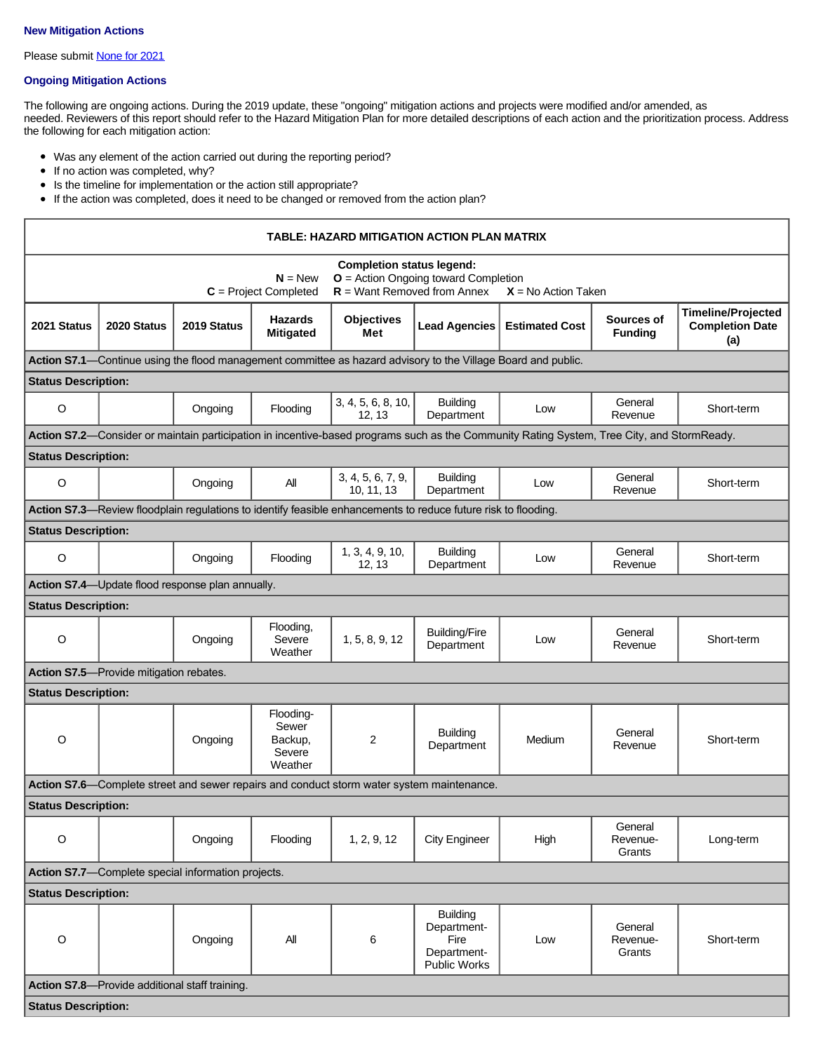#### **New Mitigation Actions**

Please submit **[None for 2021](https://integratedsolutions.wufoo.com/forms/mg21jvf0jn639o/)** 

# **Ongoing Mitigation Actions**

The following are ongoing actions. During the 2019 update, these "ongoing" mitigation actions and projects were modified and/or amended, as needed. Reviewers of this report should refer to the Hazard Mitigation Plan for more detailed descriptions of each action and the prioritization process. Address the following for each mitigation action:

- Was any element of the action carried out during the reporting period?
- If no action was completed, why?
- Is the timeline for implementation or the action still appropriate?
- If the action was completed, does it need to be changed or removed from the action plan?

| <b>TABLE: HAZARD MITIGATION ACTION PLAN MATRIX</b>                                        |             |                                                  |                                                    |                                                                                                                                           |                                                                                                                |                                                                                                                                            |                               |                                                            |  |
|-------------------------------------------------------------------------------------------|-------------|--------------------------------------------------|----------------------------------------------------|-------------------------------------------------------------------------------------------------------------------------------------------|----------------------------------------------------------------------------------------------------------------|--------------------------------------------------------------------------------------------------------------------------------------------|-------------------------------|------------------------------------------------------------|--|
|                                                                                           |             |                                                  | $N = New$<br>$C = Project Completed$               | <b>Completion status legend:</b><br><b>O</b> = Action Ongoing toward Completion<br>$R =$ Want Removed from Annex<br>$X = No$ Action Taken |                                                                                                                |                                                                                                                                            |                               |                                                            |  |
| 2021 Status                                                                               | 2020 Status | 2019 Status                                      | <b>Hazards</b><br><b>Mitigated</b>                 | <b>Objectives</b><br>Met                                                                                                                  | <b>Lead Agencies</b>                                                                                           | <b>Estimated Cost</b>                                                                                                                      | Sources of<br><b>Funding</b>  | <b>Timeline/Projected</b><br><b>Completion Date</b><br>(a) |  |
|                                                                                           |             |                                                  |                                                    |                                                                                                                                           | Action S7.1—Continue using the flood management committee as hazard advisory to the Village Board and public.  |                                                                                                                                            |                               |                                                            |  |
| <b>Status Description:</b>                                                                |             |                                                  |                                                    |                                                                                                                                           |                                                                                                                |                                                                                                                                            |                               |                                                            |  |
| $\circ$                                                                                   |             | Ongoing                                          | Flooding                                           | 3, 4, 5, 6, 8, 10,<br>12, 13                                                                                                              | <b>Building</b><br>Department                                                                                  | Low                                                                                                                                        | General<br>Revenue            | Short-term                                                 |  |
|                                                                                           |             |                                                  |                                                    |                                                                                                                                           |                                                                                                                | Action S7.2-Consider or maintain participation in incentive-based programs such as the Community Rating System, Tree City, and StormReady. |                               |                                                            |  |
| <b>Status Description:</b>                                                                |             |                                                  |                                                    |                                                                                                                                           |                                                                                                                |                                                                                                                                            |                               |                                                            |  |
| $\circ$                                                                                   |             | Ongoing                                          | All                                                | 3, 4, 5, 6, 7, 9,<br>10, 11, 13                                                                                                           | <b>Building</b><br>Department                                                                                  | Low                                                                                                                                        | General<br>Revenue            | Short-term                                                 |  |
|                                                                                           |             |                                                  |                                                    |                                                                                                                                           | Action S7.3-Review floodplain regulations to identify feasible enhancements to reduce future risk to flooding. |                                                                                                                                            |                               |                                                            |  |
| <b>Status Description:</b>                                                                |             |                                                  |                                                    |                                                                                                                                           |                                                                                                                |                                                                                                                                            |                               |                                                            |  |
| $\circ$                                                                                   |             | Ongoing                                          | Flooding                                           | 1, 3, 4, 9, 10,<br>12, 13                                                                                                                 | <b>Building</b><br>Department                                                                                  | Low                                                                                                                                        | General<br>Revenue            | Short-term                                                 |  |
|                                                                                           |             | Action S7.4-Update flood response plan annually. |                                                    |                                                                                                                                           |                                                                                                                |                                                                                                                                            |                               |                                                            |  |
| <b>Status Description:</b>                                                                |             |                                                  |                                                    |                                                                                                                                           |                                                                                                                |                                                                                                                                            |                               |                                                            |  |
| $\circ$                                                                                   |             | Ongoing                                          | Flooding,<br>Severe<br>Weather                     | 1, 5, 8, 9, 12                                                                                                                            | <b>Building/Fire</b><br>Department                                                                             | Low                                                                                                                                        | General<br>Revenue            | Short-term                                                 |  |
| Action S7.5-Provide mitigation rebates.                                                   |             |                                                  |                                                    |                                                                                                                                           |                                                                                                                |                                                                                                                                            |                               |                                                            |  |
| <b>Status Description:</b>                                                                |             |                                                  |                                                    |                                                                                                                                           |                                                                                                                |                                                                                                                                            |                               |                                                            |  |
| O                                                                                         |             | Ongoing                                          | Flooding-<br>Sewer<br>Backup,<br>Severe<br>Weather | 2                                                                                                                                         | <b>Building</b><br>Department                                                                                  | Medium                                                                                                                                     | General<br>Revenue            | Short-term                                                 |  |
| Action S7.6—Complete street and sewer repairs and conduct storm water system maintenance. |             |                                                  |                                                    |                                                                                                                                           |                                                                                                                |                                                                                                                                            |                               |                                                            |  |
| <b>Status Description:</b>                                                                |             |                                                  |                                                    |                                                                                                                                           |                                                                                                                |                                                                                                                                            |                               |                                                            |  |
| $\circ$                                                                                   |             | Ongoing                                          | Flooding                                           | 1, 2, 9, 12                                                                                                                               | <b>City Engineer</b>                                                                                           | High                                                                                                                                       | General<br>Revenue-<br>Grants | Long-term                                                  |  |
| Action S7.7-Complete special information projects.                                        |             |                                                  |                                                    |                                                                                                                                           |                                                                                                                |                                                                                                                                            |                               |                                                            |  |
| <b>Status Description:</b>                                                                |             |                                                  |                                                    |                                                                                                                                           |                                                                                                                |                                                                                                                                            |                               |                                                            |  |
| $\circ$                                                                                   |             | Ongoing                                          | All                                                | 6                                                                                                                                         | <b>Building</b><br>Department-<br>Fire<br>Department-<br><b>Public Works</b>                                   | Low                                                                                                                                        | General<br>Revenue-<br>Grants | Short-term                                                 |  |
| Action S7.8-Provide additional staff training.                                            |             |                                                  |                                                    |                                                                                                                                           |                                                                                                                |                                                                                                                                            |                               |                                                            |  |
| <b>Status Description:</b>                                                                |             |                                                  |                                                    |                                                                                                                                           |                                                                                                                |                                                                                                                                            |                               |                                                            |  |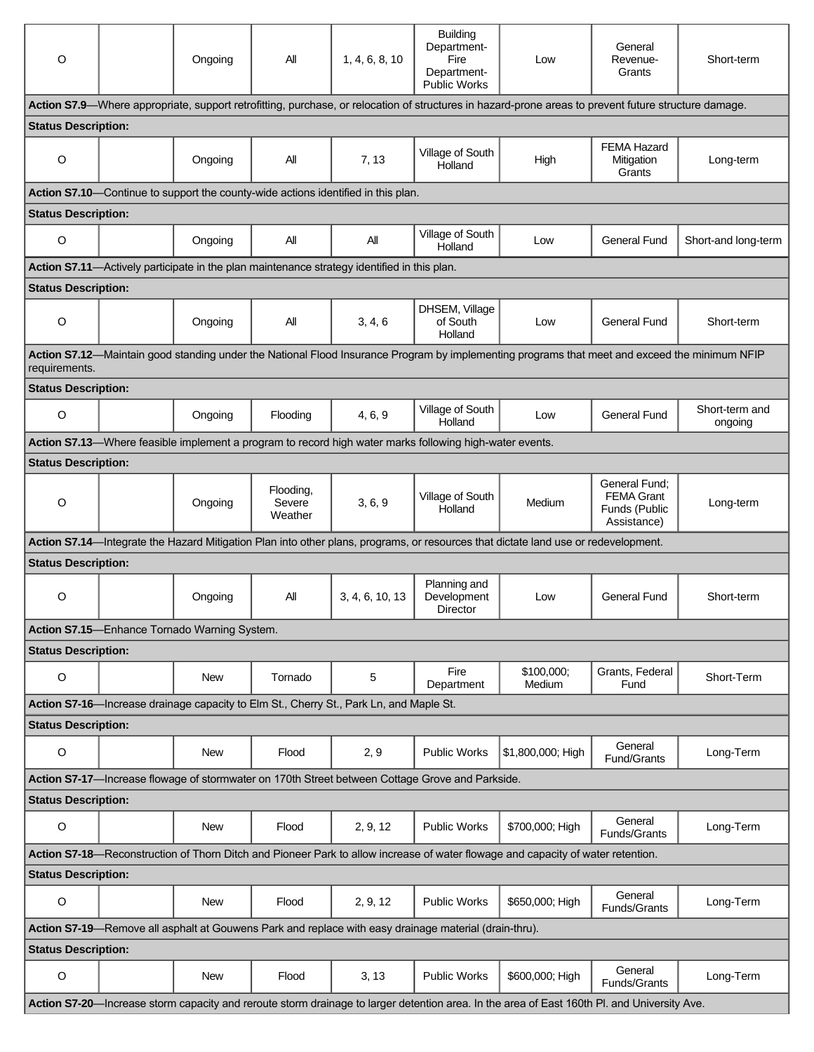| O                                                                                                                                           |  | Ongoing                                      | All                            | 1, 4, 6, 8, 10                                                                              | <b>Building</b><br>Department-<br>Fire<br>Department-<br><b>Public Works</b>                            | Low                                                                                                                                                  | General<br>Revenue-<br>Grants                                      | Short-term                |  |
|---------------------------------------------------------------------------------------------------------------------------------------------|--|----------------------------------------------|--------------------------------|---------------------------------------------------------------------------------------------|---------------------------------------------------------------------------------------------------------|------------------------------------------------------------------------------------------------------------------------------------------------------|--------------------------------------------------------------------|---------------------------|--|
|                                                                                                                                             |  |                                              |                                |                                                                                             |                                                                                                         | Action S7.9—Where appropriate, support retrofitting, purchase, or relocation of structures in hazard-prone areas to prevent future structure damage. |                                                                    |                           |  |
| <b>Status Description:</b>                                                                                                                  |  |                                              |                                |                                                                                             |                                                                                                         |                                                                                                                                                      |                                                                    |                           |  |
| O                                                                                                                                           |  | Ongoing                                      | All                            | 7, 13                                                                                       | Village of South<br>Holland                                                                             | High                                                                                                                                                 | <b>FEMA Hazard</b><br>Mitigation<br>Grants                         | Long-term                 |  |
|                                                                                                                                             |  |                                              |                                | Action S7.10-Continue to support the county-wide actions identified in this plan.           |                                                                                                         |                                                                                                                                                      |                                                                    |                           |  |
| <b>Status Description:</b>                                                                                                                  |  |                                              |                                |                                                                                             |                                                                                                         |                                                                                                                                                      |                                                                    |                           |  |
| O                                                                                                                                           |  | Ongoing                                      | ΑIΙ                            | All                                                                                         | Village of South<br>Holland                                                                             | Low                                                                                                                                                  | <b>General Fund</b>                                                | Short-and long-term       |  |
|                                                                                                                                             |  |                                              |                                | Action S7.11—Actively participate in the plan maintenance strategy identified in this plan. |                                                                                                         |                                                                                                                                                      |                                                                    |                           |  |
| <b>Status Description:</b>                                                                                                                  |  |                                              |                                |                                                                                             |                                                                                                         |                                                                                                                                                      |                                                                    |                           |  |
| $\circ$                                                                                                                                     |  | Ongoing                                      | All                            | 3, 4, 6                                                                                     | DHSEM, Village<br>of South<br>Holland                                                                   | Low                                                                                                                                                  | General Fund                                                       | Short-term                |  |
| requirements.                                                                                                                               |  |                                              |                                |                                                                                             |                                                                                                         | Action S7.12-Maintain good standing under the National Flood Insurance Program by implementing programs that meet and exceed the minimum NFIP        |                                                                    |                           |  |
| <b>Status Description:</b>                                                                                                                  |  |                                              |                                |                                                                                             |                                                                                                         |                                                                                                                                                      |                                                                    |                           |  |
| O                                                                                                                                           |  | Ongoing                                      | Flooding                       | 4, 6, 9                                                                                     | Village of South<br>Holland                                                                             | Low                                                                                                                                                  | <b>General Fund</b>                                                | Short-term and<br>ongoing |  |
|                                                                                                                                             |  |                                              |                                |                                                                                             | Action S7.13—Where feasible implement a program to record high water marks following high-water events. |                                                                                                                                                      |                                                                    |                           |  |
| <b>Status Description:</b>                                                                                                                  |  |                                              |                                |                                                                                             |                                                                                                         |                                                                                                                                                      |                                                                    |                           |  |
| $\circ$                                                                                                                                     |  | Ongoing                                      | Flooding,<br>Severe<br>Weather | 3, 6, 9                                                                                     | Village of South<br>Holland                                                                             | Medium                                                                                                                                               | General Fund:<br><b>FEMA Grant</b><br>Funds (Public<br>Assistance) | Long-term                 |  |
|                                                                                                                                             |  |                                              |                                |                                                                                             |                                                                                                         | Action S7.14—Integrate the Hazard Mitigation Plan into other plans, programs, or resources that dictate land use or redevelopment.                   |                                                                    |                           |  |
| <b>Status Description:</b>                                                                                                                  |  |                                              |                                |                                                                                             |                                                                                                         |                                                                                                                                                      |                                                                    |                           |  |
| O                                                                                                                                           |  | Ongoing                                      | All                            | 3, 4, 6, 10, 13                                                                             | Planning and<br>Development<br>Director                                                                 | Low                                                                                                                                                  | <b>General Fund</b>                                                | Short-term                |  |
|                                                                                                                                             |  | Action S7.15-Enhance Tornado Warning System. |                                |                                                                                             |                                                                                                         |                                                                                                                                                      |                                                                    |                           |  |
| <b>Status Description:</b>                                                                                                                  |  |                                              |                                |                                                                                             |                                                                                                         |                                                                                                                                                      |                                                                    |                           |  |
| O                                                                                                                                           |  | New                                          | Tornado                        | 5                                                                                           | Fire<br>Department                                                                                      | \$100,000;<br>Medium                                                                                                                                 | Grants, Federal<br>Fund                                            | Short-Term                |  |
|                                                                                                                                             |  |                                              |                                | Action S7-16-Increase drainage capacity to Elm St., Cherry St., Park Ln, and Maple St.      |                                                                                                         |                                                                                                                                                      |                                                                    |                           |  |
| <b>Status Description:</b>                                                                                                                  |  |                                              |                                |                                                                                             |                                                                                                         |                                                                                                                                                      |                                                                    |                           |  |
| $\circ$                                                                                                                                     |  | New                                          | Flood                          | 2, 9                                                                                        | <b>Public Works</b>                                                                                     | \$1,800,000; High                                                                                                                                    | General<br>Fund/Grants                                             | Long-Term                 |  |
| Action S7-17—Increase flowage of stormwater on 170th Street between Cottage Grove and Parkside.                                             |  |                                              |                                |                                                                                             |                                                                                                         |                                                                                                                                                      |                                                                    |                           |  |
| <b>Status Description:</b>                                                                                                                  |  |                                              |                                |                                                                                             |                                                                                                         |                                                                                                                                                      |                                                                    |                           |  |
| O                                                                                                                                           |  | New                                          | Flood                          | 2, 9, 12                                                                                    | <b>Public Works</b>                                                                                     | \$700,000; High                                                                                                                                      | General<br>Funds/Grants                                            | Long-Term                 |  |
| Action S7-18-Reconstruction of Thorn Ditch and Pioneer Park to allow increase of water flowage and capacity of water retention.             |  |                                              |                                |                                                                                             |                                                                                                         |                                                                                                                                                      |                                                                    |                           |  |
| <b>Status Description:</b>                                                                                                                  |  |                                              |                                |                                                                                             |                                                                                                         |                                                                                                                                                      |                                                                    |                           |  |
| O                                                                                                                                           |  | New                                          | Flood                          | 2, 9, 12                                                                                    | <b>Public Works</b>                                                                                     | \$650,000; High                                                                                                                                      | General<br>Funds/Grants                                            | Long-Term                 |  |
| Action S7-19-Remove all asphalt at Gouwens Park and replace with easy drainage material (drain-thru).                                       |  |                                              |                                |                                                                                             |                                                                                                         |                                                                                                                                                      |                                                                    |                           |  |
| <b>Status Description:</b>                                                                                                                  |  |                                              |                                |                                                                                             |                                                                                                         |                                                                                                                                                      |                                                                    |                           |  |
| $\circ$                                                                                                                                     |  | <b>New</b>                                   | Flood                          | 3, 13                                                                                       | <b>Public Works</b>                                                                                     | \$600,000; High                                                                                                                                      | General<br>Funds/Grants                                            | Long-Term                 |  |
| Action S7-20-Increase storm capacity and reroute storm drainage to larger detention area. In the area of East 160th Pl. and University Ave. |  |                                              |                                |                                                                                             |                                                                                                         |                                                                                                                                                      |                                                                    |                           |  |